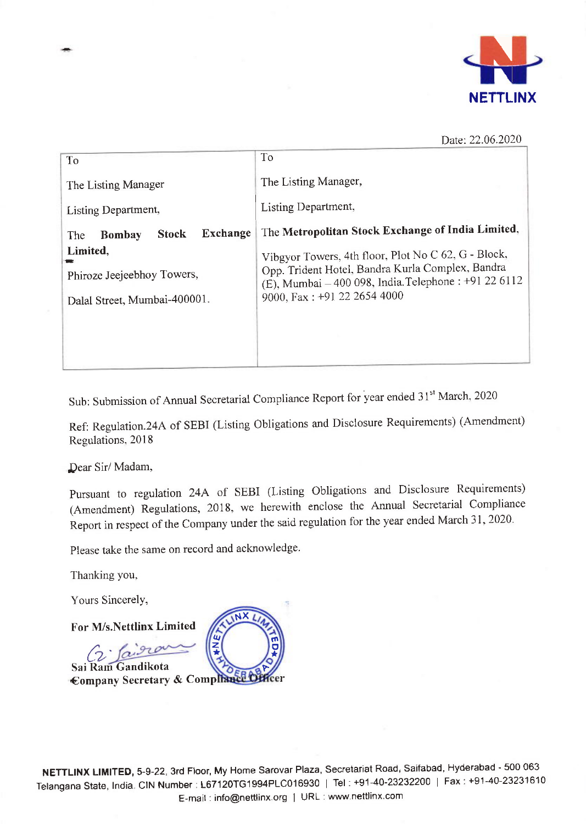

Date: 22.06.2020

| To                                                                     | To                                                                                                                                                                                              |  |
|------------------------------------------------------------------------|-------------------------------------------------------------------------------------------------------------------------------------------------------------------------------------------------|--|
| The Listing Manager                                                    | The Listing Manager,                                                                                                                                                                            |  |
| Listing Department,                                                    | Listing Department,                                                                                                                                                                             |  |
| Exchange<br><b>Stock</b><br><b>Bombay</b><br>The                       | The Metropolitan Stock Exchange of India Limited,                                                                                                                                               |  |
| Limited,<br>Phiroze Jeejeebhoy Towers,<br>Dalal Street, Mumbai-400001. | Vibgyor Towers, 4th floor, Plot No C 62, G - Block,<br>Opp. Trident Hotel, Bandra Kurla Complex, Bandra<br>(E), Mumbai - 400 098, India. Telephone : +91 22 6112<br>9000, Fax: +91 22 2654 4000 |  |

Sub: Submission of Annual Secretarial Compliance Report for year ended 31<sup>st</sup> March, 2020

Ref: Regulation.24A of SEBI (Listing obligations and Disclosure Requirements) (Amendment) Regulations, 2018

Dear Sir/ Madam,

pursuant to regulation 24A of SEBI (Listing obligations and Disclosure Requirements) (Amendment) Regulations, 2018, we herewith enclose the Annual Secretarial Compliance Report in respect of the Company under the said regulation for the year ended March 31, 2020.

Please take the same on record and acknowledge

Thanking you,

 $\zeta$ 

Yours Sincerely,

For M/s.Nettlinx Limited

Sai Ram Gandikota

€ompany Secretary & ComP r F  $\overline{N}$ lu z \* rn o \*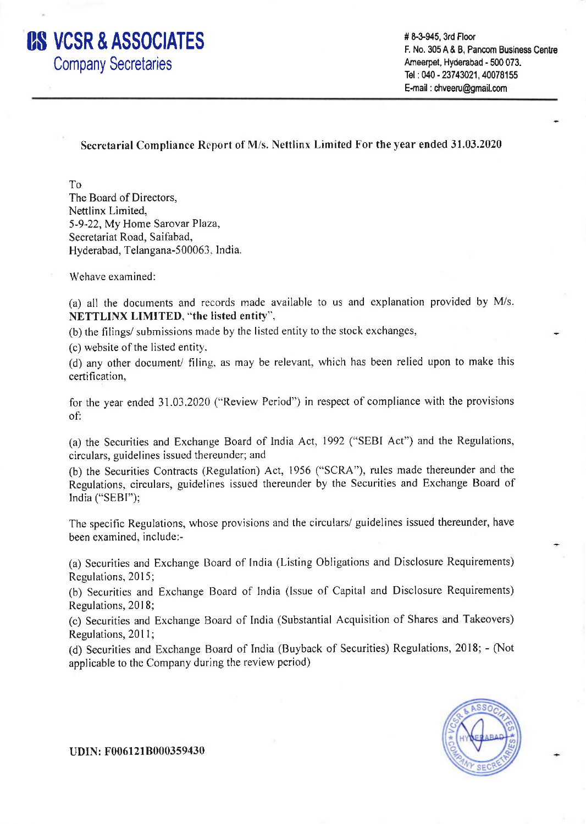

# 8-3-945, 3rd Floor F. No. 305 A & B. Pancom Business Centre Ameerpet, Hyderabad - 500 073. Tel : 040 - 23743021, 40078155 E-mail : chveeru@gmail.com

Secretarial Compliance Report of M/s. Nettlinx Limited For the year ended 31.03.2020

To

The Board of Directors, Nettlinx Limited, 5-9-22, My Home Sarovar Plaza, Secretariat Road, Saifabad, Hyderabad, Telangana-500063. lndia.

Wehave examined:

(a) all the documents and records made available to us and explanation provided by M/s. NETTLINX LIMITED, "the Iisted entity",

(b) the filings/ submissions made by the listed entity to the stock exchanges,

(c) website of the listed entity.

(d) any other document/ filing. as may be relevant, which has been relied upon to make this certification,

for the year ended 31.03.2020 ("Review Period") in respect of compliance with the provisions of:

(a) the Securities and Exchange Board of India Act, 1992 ("SEBI Act") and the Regulations, circulars, guidelines issued thereunder; and

(b) the Securities Contracts (Regulation) Act, 1956 ("SCRA"), rules made thereunder and the Regulations, circulars, guidelines issued thereunder by the Securities and Exchange Board of India ("SEBI");

The specific Regulations, whose provisions and the circulars/ guidelines issued thereunder, have been examined, include:-

(a) Securities and Exchange Board of India (Listing Obligations and Disclosure Requirements) Regulations, 2015;

(b) Securities and Exchange Board of India (Issue of Capital and Disclosure Requirements) Regulations, 2018;

(c) Securities and Exchange Board of India (Substantial Acquisition of Shares and Takeovers) Regulations, 2011;

(d) Securities and Exchange Board of India (Buyback of Securities) Regulations, 2018; - (Not applicable to the Company during the review period)



UDIN: F006121B000359430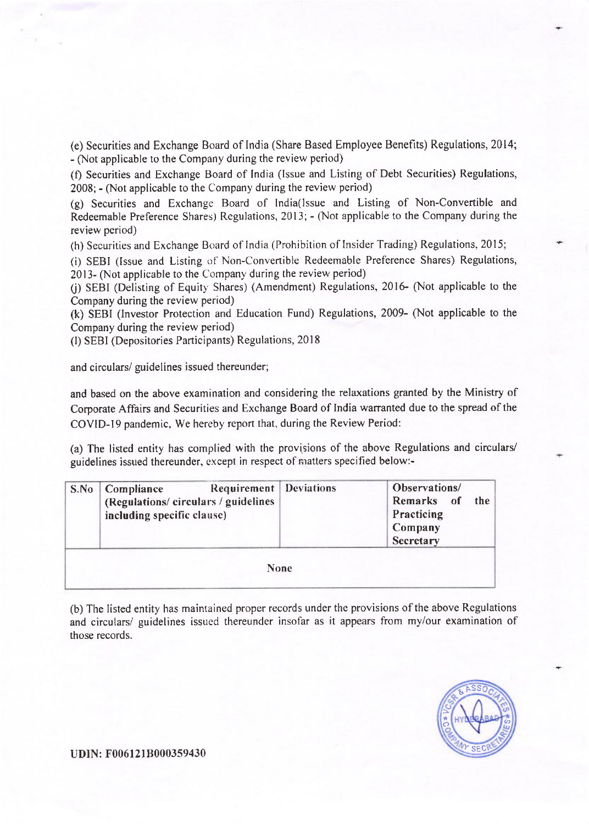(e) Securities and Exchange Board of lndia (Share Based Employee Benefits) Regulations, 2014; - (Not applicable to the Company during the review period)

(f) Securities and Exchange Board of India (lssue and Listing of Debt Securities) Regulations, 2008; - (Not applicable to the Company during the review period)

(g) Securities and Exchange Board of India(lssue and Listing of Non-Convertible and Redeemable Preference Shares) Regulations, 2013; - (Not applicable to the Company during the review period)

(h) Securities and Exchange Board of India (Prohibition of Insider Trading) Regulations, 20'15;

(i) SEBI (lssue and Listing of'Non-Convenible Redeemable Preference Shares) Regulations, 2013- (Not applicable to the Company during the review period)

(i) SEBI (Delisting of Equity Shares) (Amendment) Regulations, 2016- (Not applicable to the Company during the review period)

(k) SEBI (lnvestor Protection and Education Fund) Regulations, 2009- (Not applicable to the Company during the review period)

(l) SEBI (Depositories Participants) Regulations, 2018

and circulars/ guidelines issued thereunder;

and based on the above examination and considering the relaxations granted by the Ministry of Corporate Affairs and Securities and Exchange Board of India warranted due to the spread of the COVID-19 pandemic. We hereby report that, during the Review Period:

(a) The listed entity has complied with the provisions of the above Regulations and circulars/ guidelines issued thereunder, except in respect of nratters specified below:-

|             | <b>Requirement</b> Deviations<br>S.No   Compliance<br>(Regulations/ circulars / guidelines<br>including specific clause) |  | Observations/<br>Remarks of<br>the<br>Practicing<br>Company<br>Secretary |  |  |  |
|-------------|--------------------------------------------------------------------------------------------------------------------------|--|--------------------------------------------------------------------------|--|--|--|
| <b>None</b> |                                                                                                                          |  |                                                                          |  |  |  |

(b) The Iisted entity has maintained proper records under the provisions of the above Regulations and circulars/ guidelines issued thereunder insofar as it appears from my/our examination of those records.